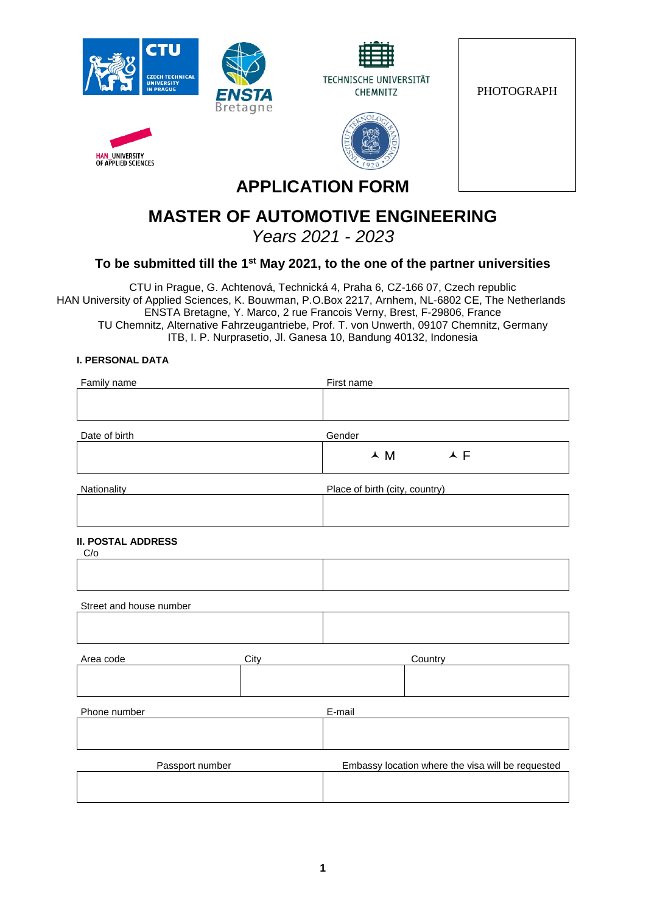





PHOTOGRAPH



# **APPLICATION FORM**

# **MASTER OF AUTOMOTIVE ENGINEERING**

*Years 2021 - 2023*

# **To be submitted till the 1st May 2021, to the one of the partner universities**

CTU in Prague, G. Achtenová, Technická 4, Praha 6, CZ-166 07, Czech republic HAN University of Applied Sciences, K. Bouwman, P.O.Box 2217, Arnhem, NL-6802 CE, The Netherlands ENSTA Bretagne, Y. Marco, 2 rue Francois Verny, Brest, F-29806, France TU Chemnitz, Alternative Fahrzeugantriebe, Prof. T. von Unwerth, 09107 Chemnitz, Germany ITB, I. P. Nurprasetio, Jl. Ganesa 10, Bandung 40132, Indonesia

## **I. PERSONAL DATA**

**HAN\_UNIVERSITY**<br>OF APPLIED SCIENCES

| Family name                      |      | First name                                                                           |  |  |  |
|----------------------------------|------|--------------------------------------------------------------------------------------|--|--|--|
|                                  |      |                                                                                      |  |  |  |
|                                  |      |                                                                                      |  |  |  |
| Date of birth                    |      | Gender                                                                               |  |  |  |
|                                  |      | $\begin{array}{ccc}\n\blacktriangle & M & \land & \blacktriangle & F \\ \end{array}$ |  |  |  |
| Nationality                      |      | Place of birth (city, country)                                                       |  |  |  |
|                                  |      |                                                                                      |  |  |  |
| <b>II. POSTAL ADDRESS</b><br>C/O |      |                                                                                      |  |  |  |
|                                  |      |                                                                                      |  |  |  |
| Street and house number          |      |                                                                                      |  |  |  |
|                                  |      |                                                                                      |  |  |  |
| Area code                        | City | Country                                                                              |  |  |  |
|                                  |      |                                                                                      |  |  |  |
| Phone number                     |      | E-mail                                                                               |  |  |  |
|                                  |      |                                                                                      |  |  |  |
| Passport number                  |      | Embassy location where the visa will be requested                                    |  |  |  |
|                                  |      |                                                                                      |  |  |  |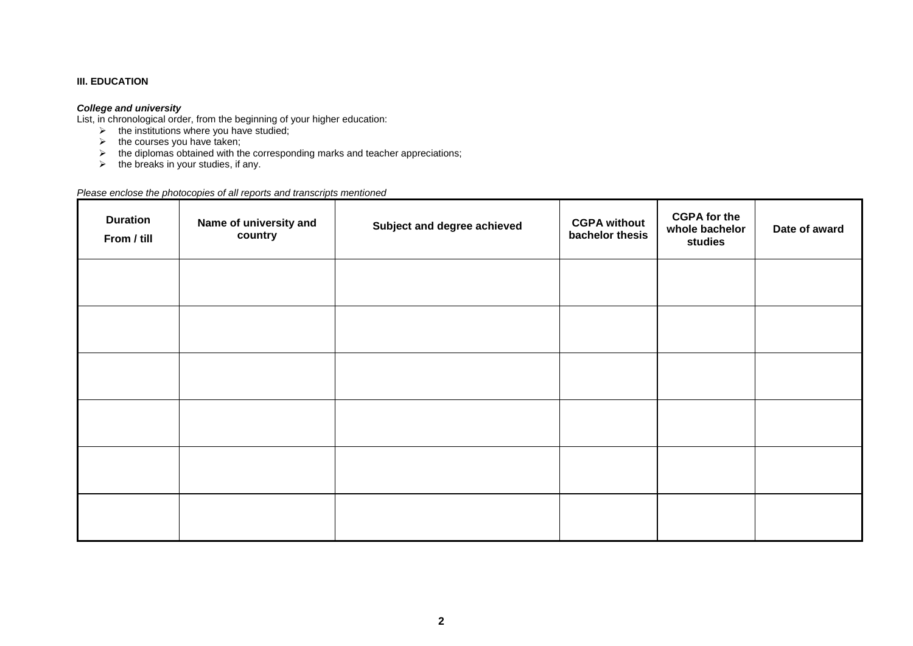#### **III. EDUCATION**

#### *College and university*

List, in chronological order, from the beginning of your higher education:

- $\triangleright$  the institutions where you have studied;
- $\triangleright$  the courses you have taken;
- $\triangleright$  the diplomas obtained with the corresponding marks and teacher appreciations;
- $\triangleright$  the breaks in your studies, if any.

#### *Please enclose the photocopies of all reports and transcripts mentioned*

| <b>Duration</b><br>From / till | Name of university and<br>country | Subject and degree achieved | <b>CGPA without</b><br>bachelor thesis | <b>CGPA for the</b><br>whole bachelor<br>studies | Date of award |
|--------------------------------|-----------------------------------|-----------------------------|----------------------------------------|--------------------------------------------------|---------------|
|                                |                                   |                             |                                        |                                                  |               |
|                                |                                   |                             |                                        |                                                  |               |
|                                |                                   |                             |                                        |                                                  |               |
|                                |                                   |                             |                                        |                                                  |               |
|                                |                                   |                             |                                        |                                                  |               |
|                                |                                   |                             |                                        |                                                  |               |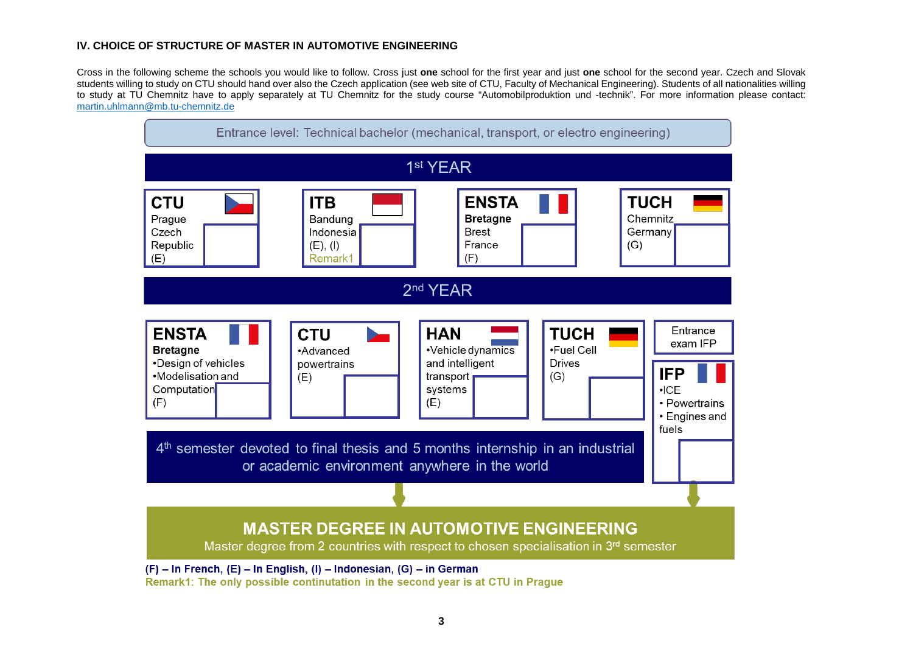#### **IV. CHOICE OF STRUCTURE OF MASTER IN AUTOMOTIVE ENGINEERING**

Cross in the following scheme the schools you would like to follow. Cross just **one** school for the first year and just **one** school for the second year. Czech and Slovak students willing to study on CTU should hand over also the Czech application (see web site of CTU, Faculty of Mechanical Engineering). Students of all nationalities willing to study at TU Chemnitz have to apply separately at TU Chemnitz for the study course "Automobilproduktion und -technik". For more information please contact: [martin.uhlmann@mb.tu-chemnitz.de](mailto:martin.uhlmann@mb.tu-chemnitz.de)



Remark1: The only possible continutation in the second year is at CTU in Prague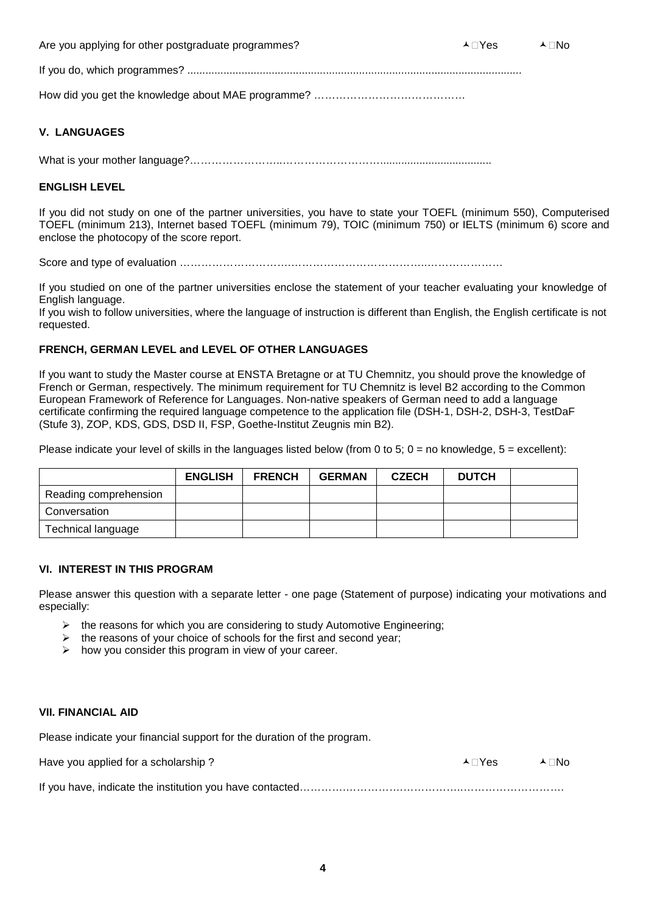Are you applying for other postgraduate programmes?  $\blacktriangle$  No  $\blacktriangle$  No  $\blacktriangle$  No  $\blacktriangle$  No  $\blacktriangle$  No

If you do, which programmes? ...............................................................................................................

How did you get the knowledge about MAE programme? ……………………………………

### **V. LANGUAGES**

What is your mother language?……………………..……………………….....................................

### **ENGLISH LEVEL**

If you did not study on one of the partner universities, you have to state your TOEFL (minimum 550), Computerised TOEFL (minimum 213), Internet based TOEFL (minimum 79), TOIC (minimum 750) or IELTS (minimum 6) score and enclose the photocopy of the score report.

Score and type of evaluation ………………………….………………………………..…………………

If you studied on one of the partner universities enclose the statement of your teacher evaluating your knowledge of English language.

If you wish to follow universities, where the language of instruction is different than English, the English certificate is not requested.

### **FRENCH, GERMAN LEVEL and LEVEL OF OTHER LANGUAGES**

If you want to study the Master course at ENSTA Bretagne or at TU Chemnitz, you should prove the knowledge of French or German, respectively. The minimum requirement for TU Chemnitz is level B2 according to the Common European Framework of Reference for Languages. Non-native speakers of German need to add a language certificate confirming the required language competence to the application file (DSH-1, DSH-2, DSH-3, TestDaF (Stufe 3), ZOP, KDS, GDS, DSD II, FSP, Goethe-Institut Zeugnis min B2).

Please indicate your level of skills in the languages listed below (from 0 to 5;  $0 =$  no knowledge,  $5 =$  excellent):

|                       | <b>ENGLISH</b> | <b>FRENCH</b> | <b>GERMAN</b> | <b>CZECH</b> | <b>DUTCH</b> |  |
|-----------------------|----------------|---------------|---------------|--------------|--------------|--|
| Reading comprehension |                |               |               |              |              |  |
| Conversation          |                |               |               |              |              |  |
| Technical language    |                |               |               |              |              |  |

#### **VI. INTEREST IN THIS PROGRAM**

Please answer this question with a separate letter - one page (Statement of purpose) indicating your motivations and especially:

- $\triangleright$  the reasons for which you are considering to study Automotive Engineering;
- $\triangleright$  the reasons of your choice of schools for the first and second year;
- $\triangleright$  how you consider this program in view of your career.

#### **VII. FINANCIAL AID**

Please indicate your financial support for the duration of the program.

| Have you applied for a scholarship? | A ⊟Yes | – ∧⊟No |
|-------------------------------------|--------|--------|
|                                     |        |        |